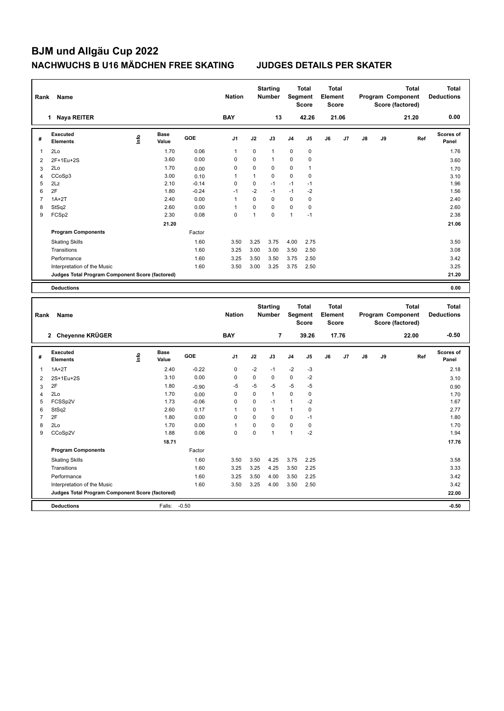| Rank                | Name                                                                 |      |                      |                 | <b>Nation</b>  |                         | <b>Starting</b><br>Number        |                   | <b>Total</b><br>Segment<br>Score        | <b>Total</b><br>Element<br><b>Score</b> |       |               |    | Program Component<br>Score (factored) | <b>Total</b> | <b>Total</b><br><b>Deductions</b> |
|---------------------|----------------------------------------------------------------------|------|----------------------|-----------------|----------------|-------------------------|----------------------------------|-------------------|-----------------------------------------|-----------------------------------------|-------|---------------|----|---------------------------------------|--------------|-----------------------------------|
|                     | 1 Naya REITER                                                        |      |                      |                 | <b>BAY</b>     |                         | 13                               |                   | 42.26                                   |                                         | 21.06 |               |    |                                       | 21.20        | 0.00                              |
| #                   | <b>Executed</b><br><b>Elements</b>                                   | lnfo | <b>Base</b><br>Value | GOE             | J1             | J2                      | J3                               | J4                | J5                                      | J6                                      | J7    | J8            | J9 |                                       | Ref          | Scores of<br>Panel                |
| $\mathbf{1}$        | 2Lo                                                                  |      | 1.70                 | 0.06            | 1              | 0                       | $\mathbf{1}$                     | 0                 | $\pmb{0}$                               |                                         |       |               |    |                                       |              | 1.76                              |
| $\overline{2}$      | 2F+1Eu+2S                                                            |      | 3.60                 | 0.00            | 0              | $\overline{0}$          | $\mathbf{1}$                     | 0                 | 0                                       |                                         |       |               |    |                                       |              | 3.60                              |
| $\mathbf{3}$        | 2Lo                                                                  |      | 1.70                 | 0.00            | $\mathbf 0$    | $\mathbf 0$             | $\mathbf 0$                      | 0                 | $\mathbf{1}$                            |                                         |       |               |    |                                       |              | 1.70                              |
| $\overline{4}$      | CCoSp3                                                               |      | 3.00                 | 0.10            | 1              | $\mathbf{1}$            | $\mathbf 0$                      | 0                 | 0                                       |                                         |       |               |    |                                       |              | 3.10                              |
| 5                   | 2Lz                                                                  |      | 2.10                 | $-0.14$         | $\mathbf 0$    | 0                       | $-1$                             | $-1$              | $-1$                                    |                                         |       |               |    |                                       |              | 1.96                              |
| 6                   | 2F                                                                   |      | 1.80                 | $-0.24$         | $-1$           | $-2$                    | $-1$                             | $-1$              | $-2$                                    |                                         |       |               |    |                                       |              | 1.56                              |
| $\overline{7}$      | $1A+2T$                                                              |      | 2.40                 | 0.00            | $\mathbf{1}$   | 0                       | $\mathbf 0$                      | $\mathbf 0$       | $\mathbf 0$                             |                                         |       |               |    |                                       |              | 2.40                              |
| 8                   | StSq2                                                                |      | 2.60                 | 0.00            | $\mathbf{1}$   | 0                       | $\pmb{0}$                        | $\mathbf 0$       | 0                                       |                                         |       |               |    |                                       |              | 2.60                              |
| 9                   | FCSp2                                                                |      | 2.30                 | 0.08            | $\mathbf 0$    | $\mathbf{1}$            | $\mathbf 0$                      | $\mathbf{1}$      | $-1$                                    |                                         |       |               |    |                                       |              | 2.38                              |
|                     |                                                                      |      | 21.20                |                 |                |                         |                                  |                   |                                         |                                         |       |               |    |                                       |              | 21.06                             |
|                     | <b>Program Components</b>                                            |      |                      | Factor          |                |                         |                                  |                   |                                         |                                         |       |               |    |                                       |              |                                   |
|                     | <b>Skating Skills</b>                                                |      |                      | 1.60            | 3.50           | 3.25                    | 3.75                             | 4.00              | 2.75                                    |                                         |       |               |    |                                       |              | 3.50                              |
|                     | Transitions                                                          |      |                      | 1.60            | 3.25           | 3.00                    | 3.00                             | 3.50              | 2.50                                    |                                         |       |               |    |                                       |              | 3.08                              |
|                     | Performance                                                          |      |                      | 1.60            | 3.25           | 3.50                    | 3.50                             | 3.75              | 2.50                                    |                                         |       |               |    |                                       |              | 3.42                              |
|                     | Interpretation of the Music                                          |      |                      | 1.60            | 3.50           | 3.00                    | 3.25                             | 3.75              | 2.50                                    |                                         |       |               |    |                                       |              | 3.25                              |
|                     | Judges Total Program Component Score (factored)                      |      |                      |                 |                |                         |                                  |                   |                                         |                                         |       |               |    |                                       |              | 21.20                             |
|                     |                                                                      |      |                      |                 |                |                         |                                  |                   |                                         |                                         |       |               |    |                                       |              |                                   |
|                     | <b>Deductions</b>                                                    |      |                      |                 |                |                         |                                  |                   |                                         |                                         |       |               |    |                                       |              | 0.00                              |
|                     |                                                                      |      |                      |                 |                |                         |                                  |                   |                                         |                                         |       |               |    |                                       |              |                                   |
| Rank                | Name                                                                 |      |                      |                 | <b>Nation</b>  |                         | <b>Starting</b><br><b>Number</b> |                   | <b>Total</b><br>Segment<br><b>Score</b> | <b>Total</b><br>Element<br><b>Score</b> |       |               |    | Program Component<br>Score (factored) | <b>Total</b> | <b>Total</b><br><b>Deductions</b> |
|                     | 2 Cheyenne KRÜGER                                                    |      |                      |                 | <b>BAY</b>     |                         | $\overline{7}$                   |                   | 39.26                                   |                                         | 17.76 |               |    |                                       | 22.00        | $-0.50$                           |
| #                   | <b>Executed</b><br><b>Elements</b>                                   | ۴    | <b>Base</b><br>Value | GOE             | J <sub>1</sub> | J2                      | J3                               | J4                | J5                                      | J6                                      | J7    | $\mathsf{J}8$ | J9 |                                       | Ref          | Scores of<br>Panel                |
|                     |                                                                      |      |                      |                 |                |                         |                                  |                   |                                         |                                         |       |               |    |                                       |              |                                   |
| $\mathbf{1}$        | $1A+2T$                                                              |      | 2.40                 | $-0.22$         | $\mathbf 0$    | $-2$                    | $-1$                             | $-2$              | -3                                      |                                         |       |               |    |                                       |              | 2.18                              |
| $\overline{2}$      | 2S+1Eu+2S                                                            |      | 3.10                 | 0.00            | $\mathbf 0$    | $\pmb{0}$               | $\mathbf 0$                      | $\pmb{0}$         | $-2$                                    |                                         |       |               |    |                                       |              | 3.10                              |
| $\mathbf{3}$        | 2F                                                                   |      | 1.80                 | $-0.90$         | $-5$           | $-5$                    | -5                               | $-5$              | -5                                      |                                         |       |               |    |                                       |              | 0.90                              |
| $\overline{4}$<br>5 | 2Lo                                                                  |      | 1.70<br>1.73         | 0.00<br>$-0.06$ | 0<br>$\Omega$  | $\mathbf 0$<br>$\Omega$ | $\mathbf{1}$<br>$-1$             | 0<br>$\mathbf{1}$ | 0<br>$-2$                               |                                         |       |               |    |                                       |              | 1.70<br>1.67                      |
| 6                   | FCSSp2V<br>StSq2                                                     |      | 2.60                 | 0.17            | 1              | 0                       | $\mathbf{1}$                     | $\mathbf{1}$      | $\pmb{0}$                               |                                         |       |               |    |                                       |              | 2.77                              |
| $\overline{7}$      | 2F                                                                   |      | 1.80                 | 0.00            | $\Omega$       | 0                       | $\Omega$                         | 0                 | $-1$                                    |                                         |       |               |    |                                       |              | 1.80                              |
| 8                   | 2Lo                                                                  |      | 1.70                 | 0.00            | 1              | 0                       | $\mathbf 0$                      | 0                 | $\pmb{0}$                               |                                         |       |               |    |                                       |              | 1.70                              |
| 9                   | CCoSp2V                                                              |      | 1.88                 | 0.06            | $\Omega$       | $\Omega$                | $\mathbf{1}$                     | $\mathbf{1}$      | $-2$                                    |                                         |       |               |    |                                       |              | 1.94                              |
|                     |                                                                      |      | 18.71                |                 |                |                         |                                  |                   |                                         |                                         |       |               |    |                                       |              | 17.76                             |
|                     | <b>Program Components</b>                                            |      |                      | Factor          |                |                         |                                  |                   |                                         |                                         |       |               |    |                                       |              |                                   |
|                     |                                                                      |      |                      |                 |                |                         |                                  |                   |                                         |                                         |       |               |    |                                       |              |                                   |
|                     | <b>Skating Skills</b>                                                |      |                      | 1.60            | 3.50           | 3.50                    | 4.25                             | 3.75              | 2.25                                    |                                         |       |               |    |                                       |              | 3.58                              |
|                     | Transitions                                                          |      |                      | 1.60            | 3.25           | 3.25                    | 4.25                             | 3.50              | 2.25                                    |                                         |       |               |    |                                       |              | 3.33                              |
|                     | Performance                                                          |      |                      | 1.60            | 3.25           | 3.50                    | 4.00                             | 3.50              | 2.25                                    |                                         |       |               |    |                                       |              | 3.42                              |
|                     | Interpretation of the Music                                          |      |                      | 1.60            | 3.50           | 3.25                    | 4.00                             | 3.50              | 2.50                                    |                                         |       |               |    |                                       |              | 3.42                              |
|                     | Judges Total Program Component Score (factored)<br><b>Deductions</b> |      | Falls:               | $-0.50$         |                |                         |                                  |                   |                                         |                                         |       |               |    |                                       |              | 22.00<br>$-0.50$                  |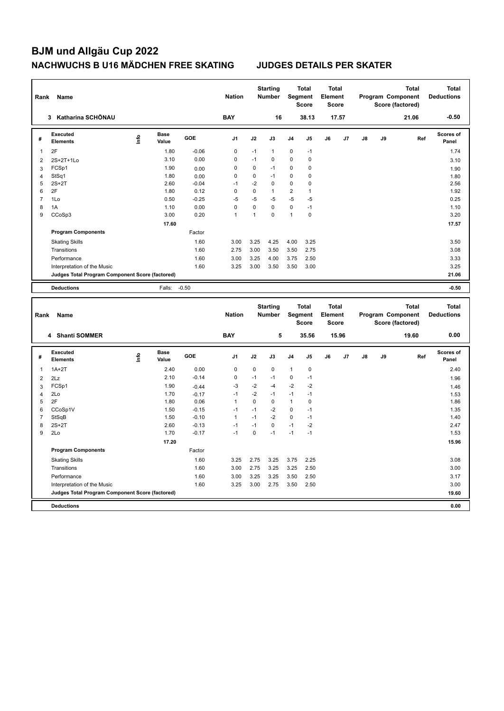| Rank                | Name                                            |      |                      |                 | <b>Nation</b>  |              | <b>Starting</b><br><b>Number</b> |                | <b>Total</b><br>Segment<br><b>Score</b> | <b>Total</b><br>Element<br><b>Score</b> |       |    | Program Component | Score (factored) | <b>Total</b> | <b>Total</b><br><b>Deductions</b> |
|---------------------|-------------------------------------------------|------|----------------------|-----------------|----------------|--------------|----------------------------------|----------------|-----------------------------------------|-----------------------------------------|-------|----|-------------------|------------------|--------------|-----------------------------------|
|                     | 3 Katharina SCHÖNAU                             |      |                      |                 | <b>BAY</b>     |              | 16                               |                | 38.13                                   |                                         | 17.57 |    |                   |                  | 21.06        | $-0.50$                           |
| #                   | Executed<br><b>Elements</b>                     | lnfo | <b>Base</b><br>Value | GOE             | J <sub>1</sub> | J2           | J3                               | J4             | J5                                      | J6                                      | J7    | J8 | J9                |                  | Ref          | Scores of<br>Panel                |
| $\mathbf{1}$        | 2F                                              |      | 1.80                 | $-0.06$         | $\mathbf 0$    | $-1$         | $\mathbf{1}$                     | 0              | $-1$                                    |                                         |       |    |                   |                  |              | 1.74                              |
| $\overline{2}$      | 2S+2T+1Lo                                       |      | 3.10                 | 0.00            | $\mathbf 0$    | $-1$         | $\mathbf 0$                      | 0              | $\pmb{0}$                               |                                         |       |    |                   |                  |              | 3.10                              |
| 3                   | FCSp1                                           |      | 1.90                 | 0.00            | $\mathbf 0$    | $\mathbf 0$  | $-1$                             | 0              | 0                                       |                                         |       |    |                   |                  |              | 1.90                              |
| $\overline{4}$      | StSq1                                           |      | 1.80                 | 0.00            | $\mathbf 0$    | $\mathbf 0$  | $-1$                             | 0              | 0                                       |                                         |       |    |                   |                  |              | 1.80                              |
| 5                   | $2S+2T$                                         |      | 2.60                 | $-0.04$         | $-1$           | $-2$         | $\mathbf 0$                      | $\mathbf 0$    | 0                                       |                                         |       |    |                   |                  |              | 2.56                              |
| 6                   | 2F                                              |      | 1.80                 | 0.12            | $\mathbf 0$    | $\mathbf 0$  | $\mathbf{1}$                     | $\overline{2}$ | $\mathbf{1}$                            |                                         |       |    |                   |                  |              | 1.92                              |
| $\overline{7}$      | 1Lo                                             |      | 0.50                 | $-0.25$         | $-5$           | $-5$         | -5                               | $-5$           | $-5$                                    |                                         |       |    |                   |                  |              | 0.25                              |
| 8                   | 1A                                              |      | 1.10                 | 0.00            | $\mathbf 0$    | $\mathbf 0$  | $\mathbf 0$                      | $\mathbf 0$    | $-1$                                    |                                         |       |    |                   |                  |              | 1.10                              |
| 9                   | CCoSp3                                          |      | 3.00                 | 0.20            | $\mathbf{1}$   | $\mathbf{1}$ | $\mathbf 0$                      | $\mathbf{1}$   | $\mathbf 0$                             |                                         |       |    |                   |                  |              | 3.20                              |
|                     |                                                 |      | 17.60                |                 |                |              |                                  |                |                                         |                                         |       |    |                   |                  |              | 17.57                             |
|                     | <b>Program Components</b>                       |      |                      | Factor          |                |              |                                  |                |                                         |                                         |       |    |                   |                  |              |                                   |
|                     | <b>Skating Skills</b>                           |      |                      | 1.60            | 3.00           | 3.25         | 4.25                             | 4.00           | 3.25                                    |                                         |       |    |                   |                  |              | 3.50                              |
|                     | Transitions                                     |      |                      | 1.60            | 2.75           | 3.00         | 3.50                             | 3.50           | 2.75                                    |                                         |       |    |                   |                  |              | 3.08                              |
|                     | Performance                                     |      |                      | 1.60            | 3.00           | 3.25         | 4.00                             | 3.75           | 2.50                                    |                                         |       |    |                   |                  |              | 3.33                              |
|                     | Interpretation of the Music                     |      |                      | 1.60            | 3.25           | 3.00         | 3.50                             | 3.50           | 3.00                                    |                                         |       |    |                   |                  |              | 3.25                              |
|                     | Judges Total Program Component Score (factored) |      |                      |                 |                |              |                                  |                |                                         |                                         |       |    |                   |                  |              | 21.06                             |
|                     |                                                 |      |                      |                 |                |              |                                  |                |                                         |                                         |       |    |                   |                  |              |                                   |
|                     | <b>Deductions</b>                               |      | Falls:               | $-0.50$         |                |              |                                  |                |                                         |                                         |       |    |                   |                  |              | $-0.50$                           |
|                     |                                                 |      |                      |                 |                |              |                                  |                |                                         |                                         |       |    |                   |                  |              |                                   |
| Rank                | Name                                            |      |                      |                 | <b>Nation</b>  |              | <b>Starting</b><br><b>Number</b> |                | <b>Total</b><br>Segment<br><b>Score</b> | <b>Total</b><br>Element<br><b>Score</b> |       |    | Program Component | Score (factored) | <b>Total</b> | <b>Total</b><br><b>Deductions</b> |
|                     | 4 Shanti SOMMER                                 |      |                      |                 | <b>BAY</b>     |              | 5                                |                | 35.56                                   |                                         | 15.96 |    |                   |                  | 19.60        | 0.00                              |
| #                   | <b>Executed</b><br><b>Elements</b>              | lnfo | <b>Base</b><br>Value | GOE             | J <sub>1</sub> | J2           | J3                               | J <sub>4</sub> | J5                                      | J6                                      | J7    | J8 | J9                |                  | Ref          | Scores of<br>Panel                |
| $\mathbf{1}$        | $1A+2T$                                         |      | 2.40                 | 0.00            | $\mathbf 0$    | $\mathbf 0$  | $\mathbf 0$                      | 1              | $\pmb{0}$                               |                                         |       |    |                   |                  |              | 2.40                              |
|                     |                                                 |      | 2.10                 | $-0.14$         | $\mathbf 0$    | $-1$         | $-1$                             | $\mathbf 0$    | $-1$                                    |                                         |       |    |                   |                  |              |                                   |
| $\overline{2}$<br>3 | 2Lz<br>FCSp1                                    |      | 1.90                 | $-0.44$         | $-3$           | $-2$         | -4                               | $-2$           | $-2$                                    |                                         |       |    |                   |                  |              | 1.96                              |
|                     | 2Lo                                             |      | 1.70                 |                 | $-1$           | $-2$         | $-1$                             | $-1$           | $-1$                                    |                                         |       |    |                   |                  |              | 1.46                              |
| $\overline{4}$<br>5 | 2F                                              |      | 1.80                 | $-0.17$<br>0.06 | $\mathbf{1}$   | $\mathbf 0$  | $\mathbf 0$                      | $\mathbf{1}$   | 0                                       |                                         |       |    |                   |                  |              | 1.53<br>1.86                      |
| 6                   | CCoSp1V                                         |      | 1.50                 | $-0.15$         | $-1$           | $-1$         | $-2$                             | $\mathbf 0$    | $-1$                                    |                                         |       |    |                   |                  |              | 1.35                              |
| $\overline{7}$      | StSqB                                           |      | 1.50                 | $-0.10$         | $\mathbf{1}$   | $-1$         | $-2$                             | $\mathbf 0$    | $-1$                                    |                                         |       |    |                   |                  |              | 1.40                              |
| 8                   | $2S+2T$                                         |      | 2.60                 | $-0.13$         | $-1$           | $-1$         | $\Omega$                         | $-1$           | $-2$                                    |                                         |       |    |                   |                  |              | 2.47                              |
| 9                   | 2Lo                                             |      | 1.70                 | $-0.17$         | $-1$           | $\mathbf 0$  | $-1$                             | $-1$           | $-1$                                    |                                         |       |    |                   |                  |              | 1.53                              |
|                     |                                                 |      | 17.20                |                 |                |              |                                  |                |                                         |                                         |       |    |                   |                  |              | 15.96                             |
|                     | <b>Program Components</b>                       |      |                      | Factor          |                |              |                                  |                |                                         |                                         |       |    |                   |                  |              |                                   |
|                     |                                                 |      |                      | 1.60            | 3.25           | 2.75         | 3.25                             | 3.75           | 2.25                                    |                                         |       |    |                   |                  |              | 3.08                              |
|                     | <b>Skating Skills</b><br>Transitions            |      |                      | 1.60            | 3.00           | 2.75         | 3.25                             | 3.25           | 2.50                                    |                                         |       |    |                   |                  |              | 3.00                              |
|                     | Performance                                     |      |                      | 1.60            | 3.00           | 3.25         | 3.25                             | 3.50           | 2.50                                    |                                         |       |    |                   |                  |              | 3.17                              |
|                     | Interpretation of the Music                     |      |                      | 1.60            | 3.25           | 3.00         | 2.75                             | 3.50           | 2.50                                    |                                         |       |    |                   |                  |              | 3.00                              |
|                     | Judges Total Program Component Score (factored) |      |                      |                 |                |              |                                  |                |                                         |                                         |       |    |                   |                  |              | 19.60                             |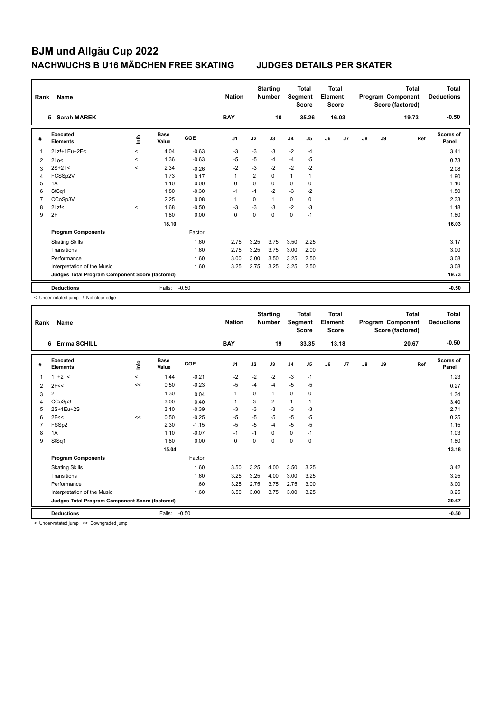| Rank           | Name                                            |                          |                      |            | <b>Nation</b>  |                | <b>Starting</b><br><b>Number</b> | Segment        | <b>Total</b><br><b>Score</b> | <b>Total</b><br>Element<br><b>Score</b> |       |               |    | <b>Total</b><br>Program Component<br>Score (factored) | Total<br><b>Deductions</b> |
|----------------|-------------------------------------------------|--------------------------|----------------------|------------|----------------|----------------|----------------------------------|----------------|------------------------------|-----------------------------------------|-------|---------------|----|-------------------------------------------------------|----------------------------|
|                | <b>Sarah MAREK</b><br>5                         |                          |                      |            | <b>BAY</b>     |                | 10                               |                | 35.26                        |                                         | 16.03 |               |    | 19.73                                                 | $-0.50$                    |
| #              | Executed<br><b>Elements</b>                     | ١nfo                     | <b>Base</b><br>Value | <b>GOE</b> | J <sub>1</sub> | J2             | J3                               | J <sub>4</sub> | J5                           | J6                                      | J7    | $\mathsf{J}8$ | J9 | Ref                                                   | <b>Scores of</b><br>Panel  |
| 1              | 2Lz!+1Eu+2F<                                    | $\overline{\phantom{a}}$ | 4.04                 | $-0.63$    | $-3$           | $-3$           | $-3$                             | $-2$           | $-4$                         |                                         |       |               |    |                                                       | 3.41                       |
| 2              | 2Lo<                                            | $\prec$                  | 1.36                 | $-0.63$    | $-5$           | $-5$           | $-4$                             | $-4$           | $-5$                         |                                         |       |               |    |                                                       | 0.73                       |
| 3              | $2S+2T2$                                        | $\prec$                  | 2.34                 | $-0.26$    | $-2$           | $-3$           | $-2$                             | $-2$           | $-2$                         |                                         |       |               |    |                                                       | 2.08                       |
| $\overline{4}$ | FCSSp2V                                         |                          | 1.73                 | 0.17       | 1              | $\overline{2}$ | 0                                | $\mathbf{1}$   | $\mathbf{1}$                 |                                         |       |               |    |                                                       | 1.90                       |
| 5              | 1A                                              |                          | 1.10                 | 0.00       | 0              | 0              | $\mathbf 0$                      | $\mathbf 0$    | $\mathbf 0$                  |                                         |       |               |    |                                                       | 1.10                       |
| 6              | StSq1                                           |                          | 1.80                 | $-0.30$    | $-1$           | $-1$           | $-2$                             | $-3$           | $-2$                         |                                         |       |               |    |                                                       | 1.50                       |
| 7              | CCoSp3V                                         |                          | 2.25                 | 0.08       | 1              | $\Omega$       | $\mathbf{1}$                     | $\mathbf 0$    | 0                            |                                         |       |               |    |                                                       | 2.33                       |
| 8              | $2Lz$ !<                                        | $\prec$                  | 1.68                 | $-0.50$    | $-3$           | $-3$           | $-3$                             | $-2$           | $-3$                         |                                         |       |               |    |                                                       | 1.18                       |
| 9              | 2F                                              |                          | 1.80                 | 0.00       | 0              | 0              | $\Omega$                         | $\mathbf 0$    | $-1$                         |                                         |       |               |    |                                                       | 1.80                       |
|                |                                                 |                          | 18.10                |            |                |                |                                  |                |                              |                                         |       |               |    |                                                       | 16.03                      |
|                | <b>Program Components</b>                       |                          |                      | Factor     |                |                |                                  |                |                              |                                         |       |               |    |                                                       |                            |
|                | <b>Skating Skills</b>                           |                          |                      | 1.60       | 2.75           | 3.25           | 3.75                             | 3.50           | 2.25                         |                                         |       |               |    |                                                       | 3.17                       |
|                | Transitions                                     |                          |                      | 1.60       | 2.75           | 3.25           | 3.75                             | 3.00           | 2.00                         |                                         |       |               |    |                                                       | 3.00                       |
|                | Performance                                     |                          |                      | 1.60       | 3.00           | 3.00           | 3.50                             | 3.25           | 2.50                         |                                         |       |               |    |                                                       | 3.08                       |
|                | Interpretation of the Music                     |                          |                      | 1.60       | 3.25           | 2.75           | 3.25                             | 3.25           | 2.50                         |                                         |       |               |    |                                                       | 3.08                       |
|                | Judges Total Program Component Score (factored) |                          |                      |            |                |                |                                  |                |                              |                                         |       |               |    |                                                       | 19.73                      |
|                | <b>Deductions</b>                               |                          | Falls:               | $-0.50$    |                |                |                                  |                |                              |                                         |       |               |    |                                                       | $-0.50$                    |

< Under-rotated jump ! Not clear edge

| Rank | <b>Name</b>                                     |          |                      |         | <b>Nation</b>  |      | <b>Starting</b><br><b>Number</b> | Segment        | <b>Total</b><br><b>Score</b> | <b>Total</b><br>Element<br><b>Score</b> |       |    |    | <b>Total</b><br>Program Component<br>Score (factored) | <b>Total</b><br><b>Deductions</b> |
|------|-------------------------------------------------|----------|----------------------|---------|----------------|------|----------------------------------|----------------|------------------------------|-----------------------------------------|-------|----|----|-------------------------------------------------------|-----------------------------------|
|      | <b>Emma SCHILL</b><br>6                         |          |                      |         | <b>BAY</b>     |      | 19                               |                | 33.35                        |                                         | 13.18 |    |    | 20.67                                                 | $-0.50$                           |
| #    | Executed<br><b>Elements</b>                     | Info     | <b>Base</b><br>Value | GOE     | J <sub>1</sub> | J2   | J3                               | J <sub>4</sub> | J <sub>5</sub>               | J6                                      | J7    | J8 | J9 | Ref                                                   | Scores of<br>Panel                |
| 1    | $1T+2T2$                                        | $\hat{}$ | 1.44                 | $-0.21$ | $-2$           | $-2$ | $-2$                             | $-3$           | $-1$                         |                                         |       |    |    |                                                       | 1.23                              |
| 2    | 2F<<                                            | <<       | 0.50                 | $-0.23$ | $-5$           | $-4$ | $-4$                             | $-5$           | -5                           |                                         |       |    |    |                                                       | 0.27                              |
| 3    | 2T                                              |          | 1.30                 | 0.04    | $\mathbf{1}$   | 0    | 1                                | $\mathbf 0$    | 0                            |                                         |       |    |    |                                                       | 1.34                              |
| 4    | CCoSp3                                          |          | 3.00                 | 0.40    |                | 3    | 2                                | $\mathbf{1}$   |                              |                                         |       |    |    |                                                       | 3.40                              |
| 5    | 2S+1Eu+2S                                       |          | 3.10                 | $-0.39$ | $-3$           | -3   | $-3$                             | $-3$           | $-3$                         |                                         |       |    |    |                                                       | 2.71                              |
| 6    | 2F<<                                            | <<       | 0.50                 | $-0.25$ | $-5$           | $-5$ | $-5$                             | $-5$           | $-5$                         |                                         |       |    |    |                                                       | 0.25                              |
|      | FSSp2                                           |          | 2.30                 | $-1.15$ | $-5$           | $-5$ | $-4$                             | $-5$           | $-5$                         |                                         |       |    |    |                                                       | 1.15                              |
| 8    | 1A                                              |          | 1.10                 | $-0.07$ | $-1$           | $-1$ | $\Omega$                         | $\mathbf 0$    | $-1$                         |                                         |       |    |    |                                                       | 1.03                              |
| 9    | StSq1                                           |          | 1.80                 | 0.00    | $\mathbf 0$    | 0    | $\Omega$                         | $\mathbf 0$    | $\mathbf 0$                  |                                         |       |    |    |                                                       | 1.80                              |
|      |                                                 |          | 15.04                |         |                |      |                                  |                |                              |                                         |       |    |    |                                                       | 13.18                             |
|      | <b>Program Components</b>                       |          |                      | Factor  |                |      |                                  |                |                              |                                         |       |    |    |                                                       |                                   |
|      | <b>Skating Skills</b>                           |          |                      | 1.60    | 3.50           | 3.25 | 4.00                             | 3.50           | 3.25                         |                                         |       |    |    |                                                       | 3.42                              |
|      | Transitions                                     |          |                      | 1.60    | 3.25           | 3.25 | 4.00                             | 3.00           | 3.25                         |                                         |       |    |    |                                                       | 3.25                              |
|      | Performance                                     |          |                      | 1.60    | 3.25           | 2.75 | 3.75                             | 2.75           | 3.00                         |                                         |       |    |    |                                                       | 3.00                              |
|      | Interpretation of the Music                     |          |                      | 1.60    | 3.50           | 3.00 | 3.75                             | 3.00           | 3.25                         |                                         |       |    |    |                                                       | 3.25                              |
|      | Judges Total Program Component Score (factored) |          |                      |         |                |      |                                  |                |                              |                                         |       |    |    |                                                       | 20.67                             |
|      | <b>Deductions</b>                               |          | Falls:               | $-0.50$ |                |      |                                  |                |                              |                                         |       |    |    |                                                       | $-0.50$                           |

< Under-rotated jump << Downgraded jump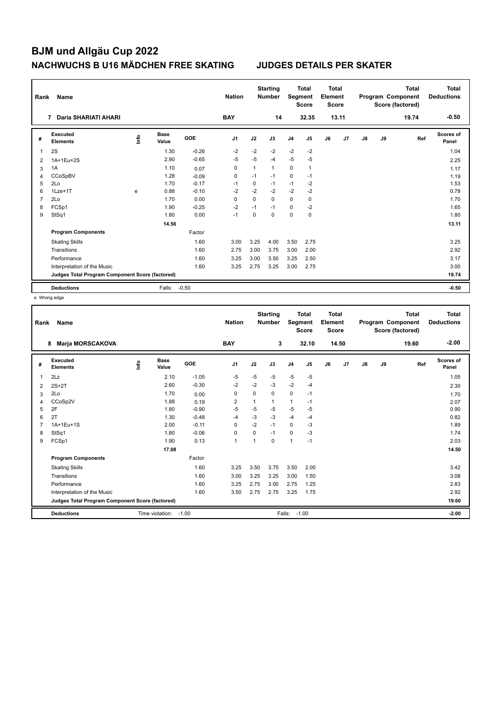| Rank | Name                                            |      |                      |            | <b>Nation</b>  |              | <b>Starting</b><br><b>Number</b> | Segment        | <b>Total</b><br><b>Score</b> | <b>Total</b><br>Element<br><b>Score</b> |       |    |    | <b>Total</b><br>Program Component<br>Score (factored) | Total<br><b>Deductions</b> |
|------|-------------------------------------------------|------|----------------------|------------|----------------|--------------|----------------------------------|----------------|------------------------------|-----------------------------------------|-------|----|----|-------------------------------------------------------|----------------------------|
|      | Daria SHARIATI AHARI<br>7                       |      |                      |            | <b>BAY</b>     |              | 14                               |                | 32.35                        |                                         | 13.11 |    |    | 19.74                                                 | $-0.50$                    |
| #    | Executed<br><b>Elements</b>                     | lnfo | <b>Base</b><br>Value | <b>GOE</b> | J <sub>1</sub> | J2           | J3                               | J <sub>4</sub> | J5                           | J6                                      | J7    | J8 | J9 | Ref                                                   | <b>Scores of</b><br>Panel  |
| 1    | 2S                                              |      | 1.30                 | $-0.26$    | $-2$           | $-2$         | $-2$                             | $-2$           | $-2$                         |                                         |       |    |    |                                                       | 1.04                       |
| 2    | 1A+1Eu+2S                                       |      | 2.90                 | $-0.65$    | $-5$           | $-5$         | $-4$                             | $-5$           | $-5$                         |                                         |       |    |    |                                                       | 2.25                       |
| 3    | 1A                                              |      | 1.10                 | 0.07       | 0              | $\mathbf{1}$ | $\mathbf{1}$                     | 0              | $\mathbf{1}$                 |                                         |       |    |    |                                                       | 1.17                       |
| 4    | CCoSpBV                                         |      | 1.28                 | $-0.09$    | 0              | $-1$         | $-1$                             | 0              | $-1$                         |                                         |       |    |    |                                                       | 1.19                       |
| 5    | 2Lo                                             |      | 1.70                 | $-0.17$    | $-1$           | 0            | $-1$                             | $-1$           | $-2$                         |                                         |       |    |    |                                                       | 1.53                       |
| 6    | $1$ Lze $+1$ T                                  | e    | 0.88                 | $-0.10$    | $-2$           | $-2$         | $-2$                             | $-2$           | $-2$                         |                                         |       |    |    |                                                       | 0.78                       |
| 7    | 2Lo                                             |      | 1.70                 | 0.00       | 0              | $\Omega$     | $\Omega$                         | 0              | 0                            |                                         |       |    |    |                                                       | 1.70                       |
| 8    | FCSp1                                           |      | 1.90                 | $-0.25$    | $-2$           | $-1$         | $-1$                             | 0              | $-2$                         |                                         |       |    |    |                                                       | 1.65                       |
| 9    | StSq1                                           |      | 1.80                 | 0.00       | $-1$           | $\Omega$     | $\Omega$                         | 0              | 0                            |                                         |       |    |    |                                                       | 1.80                       |
|      |                                                 |      | 14.56                |            |                |              |                                  |                |                              |                                         |       |    |    |                                                       | 13.11                      |
|      | <b>Program Components</b>                       |      |                      | Factor     |                |              |                                  |                |                              |                                         |       |    |    |                                                       |                            |
|      | <b>Skating Skills</b>                           |      |                      | 1.60       | 3.00           | 3.25         | 4.00                             | 3.50           | 2.75                         |                                         |       |    |    |                                                       | 3.25                       |
|      | Transitions                                     |      |                      | 1.60       | 2.75           | 3.00         | 3.75                             | 3.00           | 2.00                         |                                         |       |    |    |                                                       | 2.92                       |
|      | Performance                                     |      |                      | 1.60       | 3.25           | 3.00         | 3.50                             | 3.25           | 2.50                         |                                         |       |    |    |                                                       | 3.17                       |
|      | Interpretation of the Music                     |      |                      | 1.60       | 3.25           | 2.75         | 3.25                             | 3.00           | 2.75                         |                                         |       |    |    |                                                       | 3.00                       |
|      | Judges Total Program Component Score (factored) |      |                      |            |                |              |                                  |                |                              |                                         |       |    |    |                                                       | 19.74                      |
|      | <b>Deductions</b>                               |      | Falls:               | $-0.50$    |                |              |                                  |                |                              |                                         |       |    |    |                                                       | $-0.50$                    |

e Wrong edge

| Rank | Name                                            |      |                      |         | <b>Nation</b>  |                         | <b>Starting</b><br><b>Number</b> | Segment        | <b>Total</b><br><b>Score</b> | <b>Total</b><br>Element<br>Score |       |    |    | <b>Total</b><br>Program Component<br>Score (factored) | <b>Total</b><br><b>Deductions</b> |
|------|-------------------------------------------------|------|----------------------|---------|----------------|-------------------------|----------------------------------|----------------|------------------------------|----------------------------------|-------|----|----|-------------------------------------------------------|-----------------------------------|
|      | <b>Marja MORSCAKOVA</b><br>8                    |      |                      |         | <b>BAY</b>     |                         | 3                                |                | 32.10                        |                                  | 14.50 |    |    | 19.60                                                 | $-2.00$                           |
| #    | Executed<br><b>Elements</b>                     | lnfo | <b>Base</b><br>Value | GOE     | J <sub>1</sub> | J2                      | J3                               | J <sub>4</sub> | J5                           | J6                               | J7    | J8 | J9 | Ref                                                   | <b>Scores of</b><br>Panel         |
| 1    | 2Lz                                             |      | 2.10                 | $-1.05$ | -5             | $-5$                    | $-5$                             | $-5$           | $-5$                         |                                  |       |    |    |                                                       | 1.05                              |
| 2    | $2S+2T$                                         |      | 2.60                 | $-0.30$ | $-2$           | $-2$                    | $-3$                             | $-2$           | $-4$                         |                                  |       |    |    |                                                       | 2.30                              |
| 3    | 2Lo                                             |      | 1.70                 | 0.00    | 0              | $\mathbf 0$             | 0                                | $\mathbf 0$    | $-1$                         |                                  |       |    |    |                                                       | 1.70                              |
| 4    | CCoSp2V                                         |      | 1.88                 | 0.19    | $\overline{2}$ |                         | 1                                | $\mathbf{1}$   | $-1$                         |                                  |       |    |    |                                                       | 2.07                              |
| 5    | 2F                                              |      | 1.80                 | $-0.90$ | $-5$           | $-5$                    | $-5$                             | $-5$           | -5                           |                                  |       |    |    |                                                       | 0.90                              |
| 6    | 2T                                              |      | 1.30                 | $-0.48$ | $-4$           | $-3$                    | $-3$                             | $-4$           | $-4$                         |                                  |       |    |    |                                                       | 0.82                              |
|      | 1A+1Eu+1S                                       |      | 2.00                 | $-0.11$ | 0              | $-2$                    | $-1$                             | $\mathbf 0$    | -3                           |                                  |       |    |    |                                                       | 1.89                              |
| 8    | StSq1                                           |      | 1.80                 | $-0.06$ | $\mathbf 0$    | $\Omega$                | $-1$                             | $\Omega$       | $-3$                         |                                  |       |    |    |                                                       | 1.74                              |
| 9    | FCSp1                                           |      | 1.90                 | 0.13    | $\mathbf{1}$   | $\overline{\mathbf{1}}$ | 0                                | $\overline{1}$ | $-1$                         |                                  |       |    |    |                                                       | 2.03                              |
|      |                                                 |      | 17.08                |         |                |                         |                                  |                |                              |                                  |       |    |    |                                                       | 14.50                             |
|      | <b>Program Components</b>                       |      |                      | Factor  |                |                         |                                  |                |                              |                                  |       |    |    |                                                       |                                   |
|      | <b>Skating Skills</b>                           |      |                      | 1.60    | 3.25           | 3.50                    | 3.75                             | 3.50           | 2.00                         |                                  |       |    |    |                                                       | 3.42                              |
|      | Transitions                                     |      |                      | 1.60    | 3.00           | 3.25                    | 3.25                             | 3.00           | 1.50                         |                                  |       |    |    |                                                       | 3.08                              |
|      | Performance                                     |      |                      | 1.60    | 3.25           | 2.75                    | 3.00                             | 2.75           | 1.25                         |                                  |       |    |    |                                                       | 2.83                              |
|      | Interpretation of the Music                     |      |                      | 1.60    | 3.50           | 2.75                    | 2.75                             | 3.25           | 1.75                         |                                  |       |    |    |                                                       | 2.92                              |
|      | Judges Total Program Component Score (factored) |      |                      |         |                |                         |                                  |                |                              |                                  |       |    |    |                                                       | 19.60                             |
|      | <b>Deductions</b>                               |      | Time violation:      | $-1.00$ |                |                         |                                  | Falls:         | $-1.00$                      |                                  |       |    |    |                                                       | $-2.00$                           |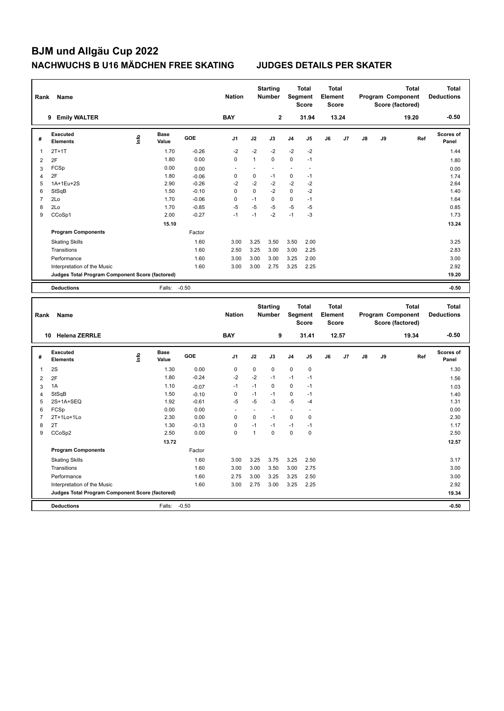| Rank                | Name                                            |      |                      |                    | <b>Nation</b> |                | <b>Starting</b><br>Number        | Segment      | <b>Total</b><br><b>Score</b> | <b>Total</b><br>Element<br>Score        |       |               |    | Program Component<br>Score (factored) | <b>Total</b> | <b>Total</b><br><b>Deductions</b> |
|---------------------|-------------------------------------------------|------|----------------------|--------------------|---------------|----------------|----------------------------------|--------------|------------------------------|-----------------------------------------|-------|---------------|----|---------------------------------------|--------------|-----------------------------------|
|                     | 9 Emily WALTER                                  |      |                      |                    | <b>BAY</b>    |                | $\overline{2}$                   |              | 31.94                        |                                         | 13.24 |               |    |                                       | 19.20        | $-0.50$                           |
| #                   | Executed<br><b>Elements</b>                     | lnfo | <b>Base</b><br>Value | GOE                | J1            | J2             | J3                               | J4           | J <sub>5</sub>               | J6                                      | J7    | $\mathsf{J}8$ | J9 |                                       | Ref          | Scores of<br>Panel                |
| $\overline{1}$      | $2T+1T$                                         |      | 1.70                 | $-0.26$            | $-2$          | $-2$           | -2                               | $-2$         | $-2$                         |                                         |       |               |    |                                       |              | 1.44                              |
| $\overline{2}$      | 2F                                              |      | 1.80                 | 0.00               | $\pmb{0}$     | $\mathbf{1}$   | $\pmb{0}$                        | $\pmb{0}$    | $-1$                         |                                         |       |               |    |                                       |              | 1.80                              |
| 3                   | FCSp                                            |      | 0.00                 | 0.00               |               | ÷,             |                                  | $\sim$       | L,                           |                                         |       |               |    |                                       |              | 0.00                              |
| $\overline{4}$      | 2F                                              |      | 1.80                 | $-0.06$            | $\mathbf 0$   | 0              | $-1$                             | $\mathbf 0$  | $-1$                         |                                         |       |               |    |                                       |              | 1.74                              |
| 5                   | 1A+1Eu+2S                                       |      | 2.90                 | $-0.26$            | $-2$          | $-2$           | $-2$                             | $-2$         | $-2$                         |                                         |       |               |    |                                       |              | 2.64                              |
| 6                   | StSqB                                           |      | 1.50                 | $-0.10$            | $\mathbf 0$   | 0              | $-2$                             | $\pmb{0}$    | $-2$                         |                                         |       |               |    |                                       |              | 1.40                              |
| $\overline{7}$      | 2Lo                                             |      | 1.70                 | $-0.06$            | $\mathbf 0$   | $-1$           | $\mathbf 0$                      | 0            | $-1$                         |                                         |       |               |    |                                       |              | 1.64                              |
| 8                   | 2Lo                                             |      | 1.70                 | $-0.85$            | $-5$          | $-5$           | -5                               | $-5$         | $-5$                         |                                         |       |               |    |                                       |              | 0.85                              |
| 9                   | CCoSp1                                          |      | 2.00                 | $-0.27$            | $-1$          | $-1$           | $-2$                             | $-1$         | $-3$                         |                                         |       |               |    |                                       |              | 1.73                              |
|                     |                                                 |      | 15.10                |                    |               |                |                                  |              |                              |                                         |       |               |    |                                       |              | 13.24                             |
|                     | <b>Program Components</b>                       |      |                      | Factor             |               |                |                                  |              |                              |                                         |       |               |    |                                       |              |                                   |
|                     | <b>Skating Skills</b>                           |      |                      | 1.60               | 3.00          | 3.25           | 3.50                             | 3.50         | 2.00                         |                                         |       |               |    |                                       |              | 3.25                              |
|                     | Transitions                                     |      |                      | 1.60               | 2.50          | 3.25           | 3.00                             | 3.00         | 2.25                         |                                         |       |               |    |                                       |              | 2.83                              |
|                     | Performance                                     |      |                      | 1.60               | 3.00          | 3.00           | 3.00                             | 3.25         | 2.00                         |                                         |       |               |    |                                       |              | 3.00                              |
|                     | Interpretation of the Music                     |      |                      | 1.60               | 3.00          | 3.00           | 2.75                             | 3.25         | 2.25                         |                                         |       |               |    |                                       |              | 2.92                              |
|                     | Judges Total Program Component Score (factored) |      |                      |                    |               |                |                                  |              |                              |                                         |       |               |    |                                       |              | 19.20                             |
|                     |                                                 |      |                      |                    |               |                |                                  |              |                              |                                         |       |               |    |                                       |              |                                   |
|                     | <b>Deductions</b>                               |      | Falls:               | $-0.50$            |               |                |                                  |              |                              |                                         |       |               |    |                                       |              | $-0.50$                           |
|                     |                                                 |      |                      |                    |               |                |                                  |              |                              |                                         |       |               |    |                                       |              |                                   |
| Rank                | Name                                            |      |                      |                    | <b>Nation</b> |                | <b>Starting</b><br><b>Number</b> | Segment      | <b>Total</b><br><b>Score</b> | <b>Total</b><br>Element<br><b>Score</b> |       |               |    | Program Component<br>Score (factored) | <b>Total</b> | <b>Total</b><br><b>Deductions</b> |
|                     | 10 Helena ZERRLE                                |      |                      |                    | <b>BAY</b>    |                | 9                                |              | 31.41                        |                                         | 12.57 |               |    |                                       | 19.34        | $-0.50$                           |
| #                   | Executed<br><b>Elements</b>                     | ١nf٥ | <b>Base</b><br>Value | GOE                | J1            | J2             | J3                               | J4           | J5                           | J6                                      | J7    | $\mathsf{J}8$ | J9 |                                       | Ref          | <b>Scores of</b><br>Panel         |
| $\mathbf{1}$        | 2S                                              |      | 1.30                 | 0.00               | $\mathbf 0$   | 0              | $\mathbf 0$                      | $\mathbf 0$  | $\mathbf 0$                  |                                         |       |               |    |                                       |              | 1.30                              |
| $\overline{2}$      | 2F                                              |      | 1.80                 | $-0.24$            | $-2$          | $-2$           | $-1$                             | $-1$         | $-1$                         |                                         |       |               |    |                                       |              | 1.56                              |
|                     | 1A                                              |      | 1.10                 |                    | $-1$          | $-1$           | $\Omega$                         | $\mathbf 0$  | $-1$                         |                                         |       |               |    |                                       |              |                                   |
| 3<br>$\overline{4}$ | StSqB                                           |      | 1.50                 | $-0.07$            | $\mathbf 0$   | $-1$           | $-1$                             | $\mathbf 0$  | $-1$                         |                                         |       |               |    |                                       |              | 1.03                              |
| 5                   | 2S+1A+SEQ                                       |      | 1.92                 | $-0.10$<br>$-0.61$ | $-5$          | $-5$           | -3                               | $-5$         | $-4$                         |                                         |       |               |    |                                       |              | 1.40<br>1.31                      |
| 6                   | FCSp                                            |      | 0.00                 | 0.00               |               | ÷,             | ÷.                               | ÷.           | ä,                           |                                         |       |               |    |                                       |              | 0.00                              |
| 7                   | 2T+1Lo+1Lo                                      |      | 2.30                 | 0.00               | 0             | $\overline{0}$ | $-1$                             | 0            | $\pmb{0}$                    |                                         |       |               |    |                                       |              | 2.30                              |
| 8                   | 2T                                              |      | 1.30                 | $-0.13$            | $\mathbf 0$   | $-1$           | $-1$                             | $-1$         | $-1$                         |                                         |       |               |    |                                       |              | 1.17                              |
| 9                   | CCoSp2                                          |      | 2.50                 | 0.00               | $\mathbf 0$   | $\mathbf{1}$   | $\mathbf 0$                      | 0            | $\mathbf 0$                  |                                         |       |               |    |                                       |              | 2.50                              |
|                     |                                                 |      | 13.72                |                    |               |                |                                  |              |                              |                                         |       |               |    |                                       |              | 12.57                             |
|                     | <b>Program Components</b>                       |      |                      | Factor             |               |                |                                  |              |                              |                                         |       |               |    |                                       |              |                                   |
|                     | <b>Skating Skills</b>                           |      |                      | 1.60               | 3.00          | 3.25           | 3.75                             | 3.25         | 2.50                         |                                         |       |               |    |                                       |              | 3.17                              |
|                     | Transitions                                     |      |                      | 1.60               | 3.00          | 3.00           | 3.50                             | 3.00         | 2.75                         |                                         |       |               |    |                                       |              | 3.00                              |
|                     | Performance                                     |      |                      |                    |               |                |                                  |              |                              |                                         |       |               |    |                                       |              |                                   |
|                     | Interpretation of the Music                     |      |                      | 1.60<br>1.60       | 2.75<br>3.00  | 3.00           | 3.25<br>3.00                     | 3.25<br>3.25 | 2.50<br>2.25                 |                                         |       |               |    |                                       |              | 3.00<br>2.92                      |
|                     | Judges Total Program Component Score (factored) |      |                      |                    |               | 2.75           |                                  |              |                              |                                         |       |               |    |                                       |              | 19.34                             |
|                     | <b>Deductions</b>                               |      | Falls:               | $-0.50$            |               |                |                                  |              |                              |                                         |       |               |    |                                       |              | $-0.50$                           |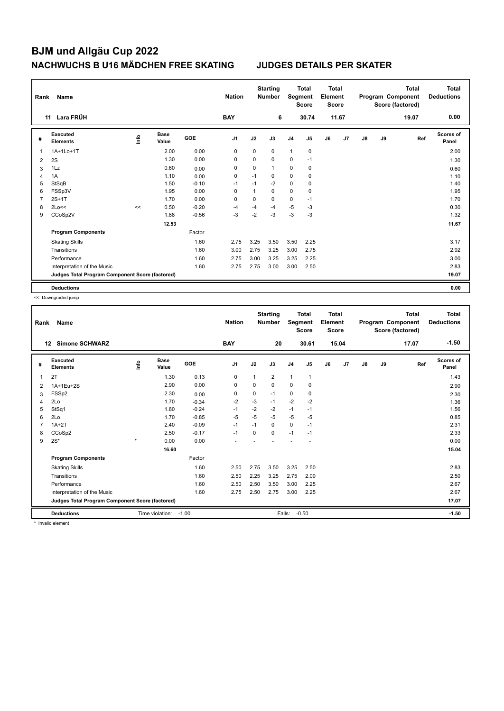| Rank           | Name                                            |      |                      |         | <b>Nation</b>  |              | <b>Starting</b><br><b>Number</b> | Segment        | <b>Total</b><br><b>Score</b> | <b>Total</b><br>Element<br><b>Score</b> |       |    |    | <b>Total</b><br>Program Component<br>Score (factored) | Total<br><b>Deductions</b> |
|----------------|-------------------------------------------------|------|----------------------|---------|----------------|--------------|----------------------------------|----------------|------------------------------|-----------------------------------------|-------|----|----|-------------------------------------------------------|----------------------------|
|                | Lara FRÜH<br>11                                 |      |                      |         | <b>BAY</b>     |              | 6                                |                | 30.74                        |                                         | 11.67 |    |    | 19.07                                                 | 0.00                       |
| #              | <b>Executed</b><br><b>Elements</b>              | ١nf٥ | <b>Base</b><br>Value | GOE     | J <sub>1</sub> | J2           | J3                               | J <sub>4</sub> | J5                           | J6                                      | J7    | J8 | J9 | Ref                                                   | Scores of<br>Panel         |
| 1              | 1A+1Lo+1T                                       |      | 2.00                 | 0.00    | 0              | $\mathbf 0$  | 0                                | $\mathbf{1}$   | $\mathbf 0$                  |                                         |       |    |    |                                                       | 2.00                       |
| 2              | 2S                                              |      | 1.30                 | 0.00    | 0              | $\mathbf 0$  | $\mathbf 0$                      | 0              | $-1$                         |                                         |       |    |    |                                                       | 1.30                       |
| 3              | 1Lz                                             |      | 0.60                 | 0.00    | 0              | 0            | $\mathbf{1}$                     | 0              | 0                            |                                         |       |    |    |                                                       | 0.60                       |
| $\overline{4}$ | 1A                                              |      | 1.10                 | 0.00    | 0              | $-1$         | 0                                | 0              | 0                            |                                         |       |    |    |                                                       | 1.10                       |
| 5              | StSqB                                           |      | 1.50                 | $-0.10$ | $-1$           | $-1$         | $-2$                             | 0              | 0                            |                                         |       |    |    |                                                       | 1.40                       |
| 6              | FSSp3V                                          |      | 1.95                 | 0.00    | $\Omega$       | $\mathbf{1}$ | $\Omega$                         | 0              | 0                            |                                         |       |    |    |                                                       | 1.95                       |
| 7              | $2S+1T$                                         |      | 1.70                 | 0.00    | $\Omega$       | $\Omega$     | $\Omega$                         | $\mathbf 0$    | $-1$                         |                                         |       |    |    |                                                       | 1.70                       |
| 8              | 2Lo<<                                           | <<   | 0.50                 | $-0.20$ | $-4$           | $-4$         | -4                               | $-5$           | $-3$                         |                                         |       |    |    |                                                       | 0.30                       |
| 9              | CCoSp2V                                         |      | 1.88                 | $-0.56$ | $-3$           | $-2$         | -3                               | $-3$           | -3                           |                                         |       |    |    |                                                       | 1.32                       |
|                |                                                 |      | 12.53                |         |                |              |                                  |                |                              |                                         |       |    |    |                                                       | 11.67                      |
|                | <b>Program Components</b>                       |      |                      | Factor  |                |              |                                  |                |                              |                                         |       |    |    |                                                       |                            |
|                | <b>Skating Skills</b>                           |      |                      | 1.60    | 2.75           | 3.25         | 3.50                             | 3.50           | 2.25                         |                                         |       |    |    |                                                       | 3.17                       |
|                | Transitions                                     |      |                      | 1.60    | 3.00           | 2.75         | 3.25                             | 3.00           | 2.75                         |                                         |       |    |    |                                                       | 2.92                       |
|                | Performance                                     |      |                      | 1.60    | 2.75           | 3.00         | 3.25                             | 3.25           | 2.25                         |                                         |       |    |    |                                                       | 3.00                       |
|                | Interpretation of the Music                     |      |                      | 1.60    | 2.75           | 2.75         | 3.00                             | 3.00           | 2.50                         |                                         |       |    |    |                                                       | 2.83                       |
|                | Judges Total Program Component Score (factored) |      |                      |         |                |              |                                  |                |                              |                                         |       |    |    |                                                       | 19.07                      |
|                | <b>Deductions</b>                               |      |                      |         |                |              |                                  |                |                              |                                         |       |    |    |                                                       | 0.00                       |

<< Downgraded jump

| Rank | Name                                            |         |                      |            | <b>Nation</b>  |          | <b>Starting</b><br><b>Number</b> | Segment        | <b>Total</b><br><b>Score</b> | <b>Total</b><br>Element<br><b>Score</b> |                |    |    | <b>Total</b><br>Program Component<br>Score (factored) | <b>Total</b><br><b>Deductions</b> |
|------|-------------------------------------------------|---------|----------------------|------------|----------------|----------|----------------------------------|----------------|------------------------------|-----------------------------------------|----------------|----|----|-------------------------------------------------------|-----------------------------------|
|      | <b>Simone SCHWARZ</b><br>12                     |         |                      |            | <b>BAY</b>     |          | 20                               |                | 30.61                        |                                         | 15.04          |    |    | 17.07                                                 | $-1.50$                           |
| #    | Executed<br><b>Elements</b>                     | lnfo    | <b>Base</b><br>Value | <b>GOE</b> | J <sub>1</sub> | J2       | J3                               | J <sub>4</sub> | J <sub>5</sub>               | J6                                      | J <sub>7</sub> | J8 | J9 | Ref                                                   | Scores of<br>Panel                |
| 1    | 2T                                              |         | 1.30                 | 0.13       | 0              | 1        | $\overline{2}$                   | $\mathbf{1}$   | $\mathbf{1}$                 |                                         |                |    |    |                                                       | 1.43                              |
| 2    | 1A+1Eu+2S                                       |         | 2.90                 | 0.00       | 0              | $\Omega$ | $\Omega$                         | 0              | 0                            |                                         |                |    |    |                                                       | 2.90                              |
| 3    | FSSp2                                           |         | 2.30                 | 0.00       | 0              | 0        | $-1$                             | 0              | 0                            |                                         |                |    |    |                                                       | 2.30                              |
| 4    | 2Lo                                             |         | 1.70                 | $-0.34$    | $-2$           | $-3$     | $-1$                             | $-2$           | $-2$                         |                                         |                |    |    |                                                       | 1.36                              |
| 5    | StSq1                                           |         | 1.80                 | $-0.24$    | $-1$           | $-2$     | $-2$                             | $-1$           | $-1$                         |                                         |                |    |    |                                                       | 1.56                              |
| 6    | 2Lo                                             |         | 1.70                 | $-0.85$    | $-5$           | $-5$     | $-5$                             | $-5$           | -5                           |                                         |                |    |    |                                                       | 0.85                              |
|      | $1A+2T$                                         |         | 2.40                 | $-0.09$    | $-1$           | $-1$     | $\Omega$                         | 0              | $-1$                         |                                         |                |    |    |                                                       | 2.31                              |
| 8    | CCoSp2                                          |         | 2.50                 | $-0.17$    | $-1$           | 0        | 0                                | $-1$           | $-1$                         |                                         |                |    |    |                                                       | 2.33                              |
| 9    | $2S^*$                                          | $\star$ | 0.00                 | 0.00       |                |          |                                  |                |                              |                                         |                |    |    |                                                       | 0.00                              |
|      |                                                 |         | 16.60                |            |                |          |                                  |                |                              |                                         |                |    |    |                                                       | 15.04                             |
|      | <b>Program Components</b>                       |         |                      | Factor     |                |          |                                  |                |                              |                                         |                |    |    |                                                       |                                   |
|      | <b>Skating Skills</b>                           |         |                      | 1.60       | 2.50           | 2.75     | 3.50                             | 3.25           | 2.50                         |                                         |                |    |    |                                                       | 2.83                              |
|      | Transitions                                     |         |                      | 1.60       | 2.50           | 2.25     | 3.25                             | 2.75           | 2.00                         |                                         |                |    |    |                                                       | 2.50                              |
|      | Performance                                     |         |                      | 1.60       | 2.50           | 2.50     | 3.50                             | 3.00           | 2.25                         |                                         |                |    |    |                                                       | 2.67                              |
|      | Interpretation of the Music                     |         |                      | 1.60       | 2.75           | 2.50     | 2.75                             | 3.00           | 2.25                         |                                         |                |    |    |                                                       | 2.67                              |
|      | Judges Total Program Component Score (factored) |         |                      |            |                |          |                                  |                |                              |                                         |                |    |    |                                                       | 17.07                             |
|      | <b>Deductions</b>                               |         | Time violation:      | $-1.00$    |                |          |                                  | Falls:         | $-0.50$                      |                                         |                |    |    |                                                       | $-1.50$                           |

\* Invalid element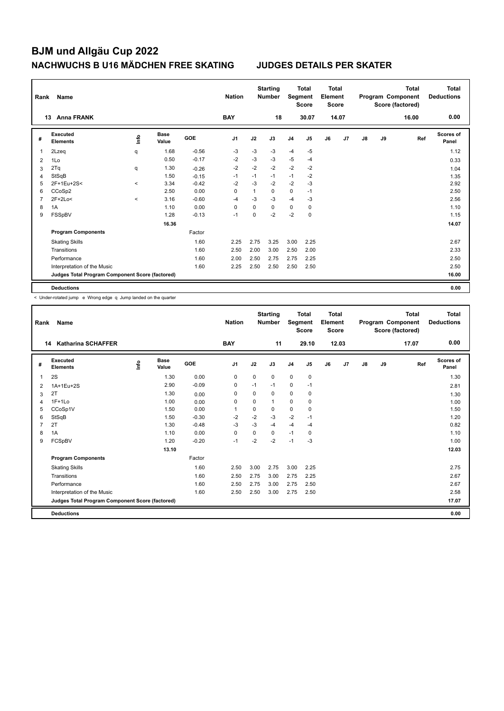| Rank           | Name                                            |                     |                      |            | <b>Nation</b>  |      | <b>Starting</b><br><b>Number</b> |                | <b>Total</b><br>Segment<br><b>Score</b> | <b>Total</b><br>Element<br><b>Score</b> |       |               |    | <b>Total</b><br>Program Component<br>Score (factored) | Total<br><b>Deductions</b> |
|----------------|-------------------------------------------------|---------------------|----------------------|------------|----------------|------|----------------------------------|----------------|-----------------------------------------|-----------------------------------------|-------|---------------|----|-------------------------------------------------------|----------------------------|
|                | <b>Anna FRANK</b><br>13                         |                     |                      |            | <b>BAY</b>     |      | 18                               |                | 30.07                                   |                                         | 14.07 |               |    | 16.00                                                 | 0.00                       |
| #              | Executed<br><b>Elements</b>                     | ١nfo                | <b>Base</b><br>Value | <b>GOE</b> | J <sub>1</sub> | J2   | J3                               | J <sub>4</sub> | J5                                      | J6                                      | J7    | $\mathsf{J}8$ | J9 | Ref                                                   | Scores of<br>Panel         |
|                | 2Lzeg                                           | q                   | 1.68                 | $-0.56$    | $-3$           | $-3$ | -3                               | $-4$           | $-5$                                    |                                         |       |               |    |                                                       | 1.12                       |
| $\overline{2}$ | 1Lo                                             |                     | 0.50                 | $-0.17$    | $-2$           | $-3$ | $-3$                             | $-5$           | -4                                      |                                         |       |               |    |                                                       | 0.33                       |
| 3              | 2Tq                                             | q                   | 1.30                 | $-0.26$    | $-2$           | $-2$ | $-2$                             | $-2$           | $-2$                                    |                                         |       |               |    |                                                       | 1.04                       |
| 4              | StSqB                                           |                     | 1.50                 | $-0.15$    | $-1$           | $-1$ | $-1$                             | $-1$           | $-2$                                    |                                         |       |               |    |                                                       | 1.35                       |
| 5              | 2F+1Eu+2S<                                      | $\hat{\phantom{a}}$ | 3.34                 | $-0.42$    | $-2$           | $-3$ | $-2$                             | $-2$           | -3                                      |                                         |       |               |    |                                                       | 2.92                       |
| 6              | CCoSp2                                          |                     | 2.50                 | 0.00       | 0              | 1    | 0                                | $\mathbf 0$    | $-1$                                    |                                         |       |               |    |                                                       | 2.50                       |
| 7              | $2F+2Lo<$                                       | $\prec$             | 3.16                 | $-0.60$    | $-4$           | $-3$ | $-3$                             | $-4$           | $-3$                                    |                                         |       |               |    |                                                       | 2.56                       |
| 8              | 1A                                              |                     | 1.10                 | 0.00       | $\Omega$       | 0    | $\Omega$                         | 0              | 0                                       |                                         |       |               |    |                                                       | 1.10                       |
| 9              | FSSpBV                                          |                     | 1.28                 | $-0.13$    | $-1$           | 0    | $-2$                             | $-2$           | $\pmb{0}$                               |                                         |       |               |    |                                                       | 1.15                       |
|                |                                                 |                     | 16.36                |            |                |      |                                  |                |                                         |                                         |       |               |    |                                                       | 14.07                      |
|                | <b>Program Components</b>                       |                     |                      | Factor     |                |      |                                  |                |                                         |                                         |       |               |    |                                                       |                            |
|                | <b>Skating Skills</b>                           |                     |                      | 1.60       | 2.25           | 2.75 | 3.25                             | 3.00           | 2.25                                    |                                         |       |               |    |                                                       | 2.67                       |
|                | Transitions                                     |                     |                      | 1.60       | 2.50           | 2.00 | 3.00                             | 2.50           | 2.00                                    |                                         |       |               |    |                                                       | 2.33                       |
|                | Performance                                     |                     |                      | 1.60       | 2.00           | 2.50 | 2.75                             | 2.75           | 2.25                                    |                                         |       |               |    |                                                       | 2.50                       |
|                | Interpretation of the Music                     |                     |                      | 1.60       | 2.25           | 2.50 | 2.50                             | 2.50           | 2.50                                    |                                         |       |               |    |                                                       | 2.50                       |
|                | Judges Total Program Component Score (factored) |                     |                      |            |                |      |                                  |                |                                         |                                         |       |               |    |                                                       | 16.00                      |
|                | <b>Deductions</b>                               |                     |                      |            |                |      |                                  |                |                                         |                                         |       |               |    |                                                       | 0.00                       |

< Under-rotated jump e Wrong edge q Jump landed on the quarter

| Rank | <b>Name</b>                                     |       |                      |         | <b>Nation</b> |             | <b>Starting</b><br><b>Number</b> | Segment        | <b>Total</b><br><b>Score</b> | Total<br>Element<br><b>Score</b> |       |               |    | <b>Total</b><br>Program Component<br>Score (factored) | <b>Total</b><br><b>Deductions</b> |
|------|-------------------------------------------------|-------|----------------------|---------|---------------|-------------|----------------------------------|----------------|------------------------------|----------------------------------|-------|---------------|----|-------------------------------------------------------|-----------------------------------|
|      | 14<br><b>Katharina SCHAFFER</b>                 |       |                      |         | <b>BAY</b>    |             | 11                               |                | 29.10                        |                                  | 12.03 |               |    | 17.07                                                 | 0.00                              |
| #    | Executed<br><b>Elements</b>                     | Linfo | <b>Base</b><br>Value | GOE     | J1            | J2          | J3                               | J <sub>4</sub> | J5                           | J6                               | J7    | $\mathsf{J}8$ | J9 | Ref                                                   | <b>Scores of</b><br>Panel         |
| 1    | 2S                                              |       | 1.30                 | 0.00    | 0             | 0           | 0                                | $\mathbf 0$    | $\mathbf 0$                  |                                  |       |               |    |                                                       | 1.30                              |
| 2    | 1A+1Eu+2S                                       |       | 2.90                 | $-0.09$ | 0             | $-1$        | $-1$                             | 0              | $-1$                         |                                  |       |               |    |                                                       | 2.81                              |
| 3    | 2T                                              |       | 1.30                 | 0.00    | 0             | $\Omega$    | 0                                | 0              | 0                            |                                  |       |               |    |                                                       | 1.30                              |
| 4    | $1F+1Lo$                                        |       | 1.00                 | 0.00    | 0             | $\Omega$    | $\mathbf{1}$                     | 0              | 0                            |                                  |       |               |    |                                                       | 1.00                              |
| 5    | CCoSp1V                                         |       | 1.50                 | 0.00    | $\mathbf{1}$  | $\mathbf 0$ | 0                                | $\mathbf 0$    | $\mathbf 0$                  |                                  |       |               |    |                                                       | 1.50                              |
| 6    | StSqB                                           |       | 1.50                 | $-0.30$ | -2            | $-2$        | $-3$                             | $-2$           | $-1$                         |                                  |       |               |    |                                                       | 1.20                              |
| 7    | 2T                                              |       | 1.30                 | $-0.48$ | $-3$          | $-3$        | $-4$                             | $-4$           | $-4$                         |                                  |       |               |    |                                                       | 0.82                              |
| 8    | 1A                                              |       | 1.10                 | 0.00    | $\Omega$      | $\Omega$    | $\Omega$                         | $-1$           | 0                            |                                  |       |               |    |                                                       | 1.10                              |
| 9    | FCSpBV                                          |       | 1.20                 | $-0.20$ | $-1$          | $-2$        | $-2$                             | $-1$           | $-3$                         |                                  |       |               |    |                                                       | 1.00                              |
|      |                                                 |       | 13.10                |         |               |             |                                  |                |                              |                                  |       |               |    |                                                       | 12.03                             |
|      | <b>Program Components</b>                       |       |                      | Factor  |               |             |                                  |                |                              |                                  |       |               |    |                                                       |                                   |
|      | <b>Skating Skills</b>                           |       |                      | 1.60    | 2.50          | 3.00        | 2.75                             | 3.00           | 2.25                         |                                  |       |               |    |                                                       | 2.75                              |
|      | Transitions                                     |       |                      | 1.60    | 2.50          | 2.75        | 3.00                             | 2.75           | 2.25                         |                                  |       |               |    |                                                       | 2.67                              |
|      | Performance                                     |       |                      | 1.60    | 2.50          | 2.75        | 3.00                             | 2.75           | 2.50                         |                                  |       |               |    |                                                       | 2.67                              |
|      | Interpretation of the Music                     |       |                      | 1.60    | 2.50          | 2.50        | 3.00                             | 2.75           | 2.50                         |                                  |       |               |    |                                                       | 2.58                              |
|      | Judges Total Program Component Score (factored) |       |                      |         |               |             |                                  |                |                              |                                  |       |               |    |                                                       | 17.07                             |
|      | <b>Deductions</b>                               |       |                      |         |               |             |                                  |                |                              |                                  |       |               |    |                                                       | 0.00                              |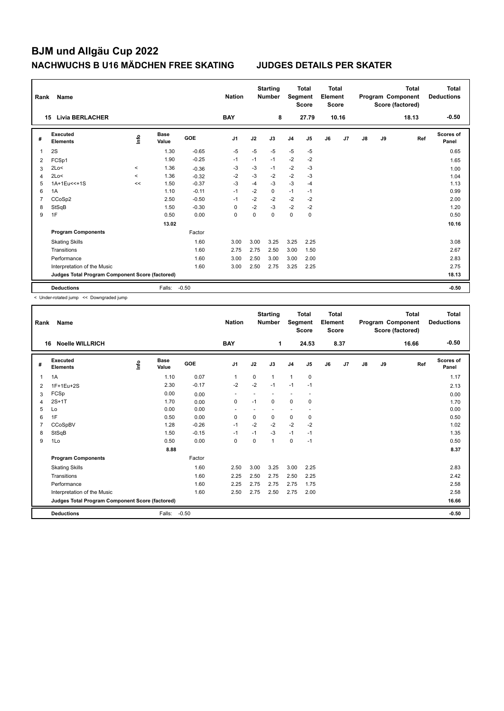| Rank           | Name                                            |                          |                      |            | <b>Nation</b>  |          | <b>Starting</b><br><b>Number</b> | Segment        | Total<br><b>Score</b> | <b>Total</b><br>Element<br><b>Score</b> |                |    |    | <b>Total</b><br>Program Component<br>Score (factored) | Total<br><b>Deductions</b> |
|----------------|-------------------------------------------------|--------------------------|----------------------|------------|----------------|----------|----------------------------------|----------------|-----------------------|-----------------------------------------|----------------|----|----|-------------------------------------------------------|----------------------------|
|                | <b>Livia BERLACHER</b><br>15                    |                          |                      |            | <b>BAY</b>     |          | 8                                |                | 27.79                 |                                         | 10.16          |    |    | 18.13                                                 | $-0.50$                    |
| #              | Executed<br><b>Elements</b>                     | ۴                        | <b>Base</b><br>Value | <b>GOE</b> | J <sub>1</sub> | J2       | J3                               | J <sub>4</sub> | J <sub>5</sub>        | J6                                      | J <sub>7</sub> | J8 | J9 | Ref                                                   | Scores of<br>Panel         |
|                | 2S                                              |                          | 1.30                 | $-0.65$    | $-5$           | $-5$     | $-5$                             | $-5$           | $-5$                  |                                         |                |    |    |                                                       | 0.65                       |
| $\overline{2}$ | FCSp1                                           |                          | 1.90                 | $-0.25$    | $-1$           | $-1$     | $-1$                             | $-2$           | $-2$                  |                                         |                |    |    |                                                       | 1.65                       |
| 3              | 2Lo<                                            | $\,<\,$                  | 1.36                 | $-0.36$    | $-3$           | $-3$     | $-1$                             | $-2$           | $-3$                  |                                         |                |    |    |                                                       | 1.00                       |
| 4              | 2Lo<                                            | $\overline{\phantom{a}}$ | 1.36                 | $-0.32$    | $-2$           | -3       | -2                               | $-2$           | $-3$                  |                                         |                |    |    |                                                       | 1.04                       |
| 5              | 1A+1Eu<<+1S                                     | <<                       | 1.50                 | $-0.37$    | $-3$           | $-4$     | $-3$                             | $-3$           | $-4$                  |                                         |                |    |    |                                                       | 1.13                       |
| 6              | 1A                                              |                          | 1.10                 | $-0.11$    | $-1$           | $-2$     | $\mathbf 0$                      | $-1$           | $-1$                  |                                         |                |    |    |                                                       | 0.99                       |
| 7              | CCoSp2                                          |                          | 2.50                 | $-0.50$    | $-1$           | $-2$     | $-2$                             | $-2$           | $-2$                  |                                         |                |    |    |                                                       | 2.00                       |
| 8              | StSqB                                           |                          | 1.50                 | $-0.30$    | 0              | $-2$     | $-3$                             | $-2$           | $-2$                  |                                         |                |    |    |                                                       | 1.20                       |
| 9              | 1F                                              |                          | 0.50                 | 0.00       | 0              | $\Omega$ | $\Omega$                         | $\mathbf 0$    | $\mathbf 0$           |                                         |                |    |    |                                                       | 0.50                       |
|                |                                                 |                          | 13.02                |            |                |          |                                  |                |                       |                                         |                |    |    |                                                       | 10.16                      |
|                | <b>Program Components</b>                       |                          |                      | Factor     |                |          |                                  |                |                       |                                         |                |    |    |                                                       |                            |
|                | <b>Skating Skills</b>                           |                          |                      | 1.60       | 3.00           | 3.00     | 3.25                             | 3.25           | 2.25                  |                                         |                |    |    |                                                       | 3.08                       |
|                | Transitions                                     |                          |                      | 1.60       | 2.75           | 2.75     | 2.50                             | 3.00           | 1.50                  |                                         |                |    |    |                                                       | 2.67                       |
|                | Performance                                     |                          |                      | 1.60       | 3.00           | 2.50     | 3.00                             | 3.00           | 2.00                  |                                         |                |    |    |                                                       | 2.83                       |
|                | Interpretation of the Music                     |                          |                      | 1.60       | 3.00           | 2.50     | 2.75                             | 3.25           | 2.25                  |                                         |                |    |    |                                                       | 2.75                       |
|                | Judges Total Program Component Score (factored) |                          |                      |            |                |          |                                  |                |                       |                                         |                |    |    |                                                       | 18.13                      |
|                | <b>Deductions</b>                               |                          | Falls:               | $-0.50$    |                |          |                                  |                |                       |                                         |                |    |    |                                                       | $-0.50$                    |

< Under-rotated jump << Downgraded jump

| Rank | <b>Name</b>                                     |      |                      |         | <b>Nation</b>  |          | <b>Starting</b><br><b>Number</b> | Segment        | <b>Total</b><br><b>Score</b> | <b>Total</b><br>Element<br><b>Score</b> |      |               |    | <b>Total</b><br>Program Component<br>Score (factored) | <b>Total</b><br><b>Deductions</b> |
|------|-------------------------------------------------|------|----------------------|---------|----------------|----------|----------------------------------|----------------|------------------------------|-----------------------------------------|------|---------------|----|-------------------------------------------------------|-----------------------------------|
|      | <b>Noelle WILLRICH</b><br>16                    |      |                      |         | <b>BAY</b>     |          | 1                                |                | 24.53                        |                                         | 8.37 |               |    | 16.66                                                 | $-0.50$                           |
| #    | Executed<br><b>Elements</b>                     | lnfo | <b>Base</b><br>Value | GOE     | J <sub>1</sub> | J2       | J3                               | J <sub>4</sub> | J5                           | J6                                      | J7   | $\mathsf{J}8$ | J9 | Ref                                                   | <b>Scores of</b><br>Panel         |
| 1    | 1A                                              |      | 1.10                 | 0.07    | $\mathbf{1}$   | 0        | $\mathbf{1}$                     | $\mathbf{1}$   | 0                            |                                         |      |               |    |                                                       | 1.17                              |
| 2    | 1F+1Eu+2S                                       |      | 2.30                 | $-0.17$ | $-2$           | $-2$     | $-1$                             | $-1$           | $-1$                         |                                         |      |               |    |                                                       | 2.13                              |
| 3    | FCSp                                            |      | 0.00                 | 0.00    | ٠              |          |                                  | ÷              | ٠                            |                                         |      |               |    |                                                       | 0.00                              |
| 4    | $2S+1T$                                         |      | 1.70                 | 0.00    | 0              | $-1$     | $\Omega$                         | 0              | 0                            |                                         |      |               |    |                                                       | 1.70                              |
| 5    | Lo                                              |      | 0.00                 | 0.00    |                |          |                                  |                |                              |                                         |      |               |    |                                                       | 0.00                              |
| 6    | 1F                                              |      | 0.50                 | 0.00    | $\mathbf 0$    | $\Omega$ | $\Omega$                         | $\mathbf 0$    | 0                            |                                         |      |               |    |                                                       | 0.50                              |
| 7    | CCoSpBV                                         |      | 1.28                 | $-0.26$ | $-1$           | $-2$     | $-2$                             | $-2$           | $-2$                         |                                         |      |               |    |                                                       | 1.02                              |
| 8    | StSqB                                           |      | 1.50                 | $-0.15$ | $-1$           | $-1$     | $-3$                             | $-1$           | $-1$                         |                                         |      |               |    |                                                       | 1.35                              |
| 9    | 1Lo                                             |      | 0.50                 | 0.00    | $\mathbf 0$    | 0        | 1                                | $\mathbf 0$    | $-1$                         |                                         |      |               |    |                                                       | 0.50                              |
|      |                                                 |      | 8.88                 |         |                |          |                                  |                |                              |                                         |      |               |    |                                                       | 8.37                              |
|      | <b>Program Components</b>                       |      |                      | Factor  |                |          |                                  |                |                              |                                         |      |               |    |                                                       |                                   |
|      | <b>Skating Skills</b>                           |      |                      | 1.60    | 2.50           | 3.00     | 3.25                             | 3.00           | 2.25                         |                                         |      |               |    |                                                       | 2.83                              |
|      | Transitions                                     |      |                      | 1.60    | 2.25           | 2.50     | 2.75                             | 2.50           | 2.25                         |                                         |      |               |    |                                                       | 2.42                              |
|      | Performance                                     |      |                      | 1.60    | 2.25           | 2.75     | 2.75                             | 2.75           | 1.75                         |                                         |      |               |    |                                                       | 2.58                              |
|      | Interpretation of the Music                     |      |                      | 1.60    | 2.50           | 2.75     | 2.50                             | 2.75           | 2.00                         |                                         |      |               |    |                                                       | 2.58                              |
|      | Judges Total Program Component Score (factored) |      |                      |         |                |          |                                  |                |                              |                                         |      |               |    |                                                       | 16.66                             |
|      | <b>Deductions</b>                               |      | Falls:               | $-0.50$ |                |          |                                  |                |                              |                                         |      |               |    |                                                       | $-0.50$                           |